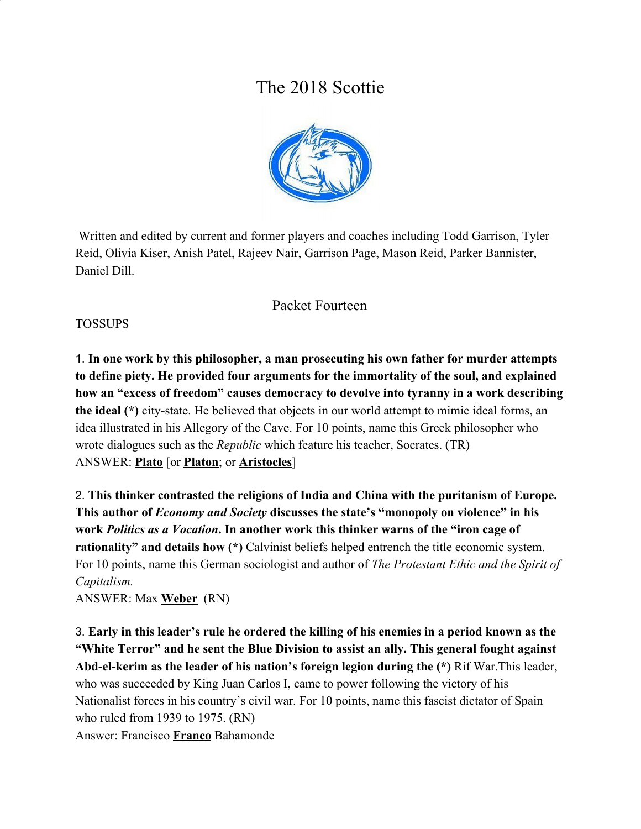# The 2018 Scottie



 Written and edited by current and former players and coaches including Todd Garrison, Tyler Reid, Olivia Kiser, Anish Patel, Rajeev Nair, Garrison Page, Mason Reid, Parker Bannister, Daniel Dill.

## Packet Fourteen

#### TOSSUPS

1. **In one work by this philosopher, a man prosecuting his own father for murder attempts to define piety. He provided four arguments for the immortality of the soul, and explained how an "excess of freedom" causes democracy to devolve into tyranny in a work describing the ideal (\*)** city-state. He believed that objects in our world attempt to mimic ideal forms, an idea illustrated in his Allegory of the Cave. For 10 points, name this Greek philosopher who wrote dialogues such as the *Republic* which feature his teacher, Socrates. (TR) ANSWER: **Plato** [or **Platon**; or **Aristocles**]

2. **This thinker contrasted the religions of India and China with the puritanism of Europe. This author of** *Economy and Society* **discusses the state's "monopoly on violence" in his work** *Politics as a Vocation***. In another work this thinker warns of the "iron cage of rationality" and details how (\*)** Calvinist beliefs helped entrench the title economic system. For 10 points, name this German sociologist and author of *The Protestant Ethic and the Spirit of Capitalism.*

ANSWER: Max **Weber** (RN)

3. **Early in this leader's rule he ordered the killing of his enemies in a period known as the "White Terror" and he sent the Blue Division to assist an ally. This general fought against Abd-el-kerim as the leader of his nation's foreign legion during the (\*)** Rif War.This leader, who was succeeded by King Juan Carlos I, came to power following the victory of his Nationalist forces in his country's civil war. For 10 points, name this fascist dictator of Spain who ruled from 1939 to 1975. (RN) Answer: Francisco **Franco** Bahamonde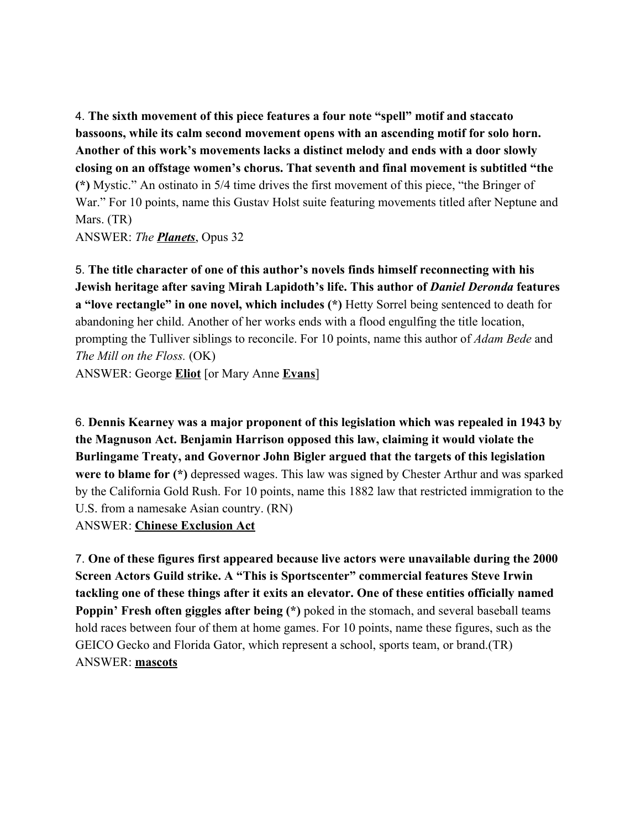4. **The sixth movement of this piece features a four note "spell" motif and staccato bassoons, while its calm second movement opens with an ascending motif for solo horn. Another of this work's movements lacks a distinct melody and ends with a door slowly closing on an offstage women's chorus. That seventh and final movement is subtitled "the (\*)** Mystic." An ostinato in 5/4 time drives the first movement of this piece, "the Bringer of War." For 10 points, name this Gustav Holst suite featuring movements titled after Neptune and Mars. (TR)

ANSWER: *The Planets*, Opus 32

5. **The title character of one of this author's novels finds himself reconnecting with his Jewish heritage after saving Mirah Lapidoth's life. This author of** *Daniel Deronda* **features a "love rectangle" in one novel, which includes (\*)** Hetty Sorrel being sentenced to death for abandoning her child. Another of her works ends with a flood engulfing the title location, prompting the Tulliver siblings to reconcile. For 10 points, name this author of *Adam Bede* and *The Mill on the Floss.* (OK)

ANSWER: George **Eliot** [or Mary Anne **Evans**]

6. **Dennis Kearney was a major proponent of this legislation which was repealed in 1943 by the Magnuson Act. Benjamin Harrison opposed this law, claiming it would violate the Burlingame Treaty, and Governor John Bigler argued that the targets of this legislation were to blame for (\*)** depressed wages. This law was signed by Chester Arthur and was sparked by the California Gold Rush. For 10 points, name this 1882 law that restricted immigration to the U.S. from a namesake Asian country. (RN) ANSWER: **Chinese Exclusion Act**

7. **One of these figures first appeared because live actors were unavailable during the 2000 Screen Actors Guild strike. A "This is Sportscenter" commercial features Steve Irwin tackling one of these things after it exits an elevator. One of these entities officially named Poppin' Fresh often giggles after being (\*)** poked in the stomach, and several baseball teams hold races between four of them at home games. For 10 points, name these figures, such as the GEICO Gecko and Florida Gator, which represent a school, sports team, or brand.(TR) ANSWER: **mascots**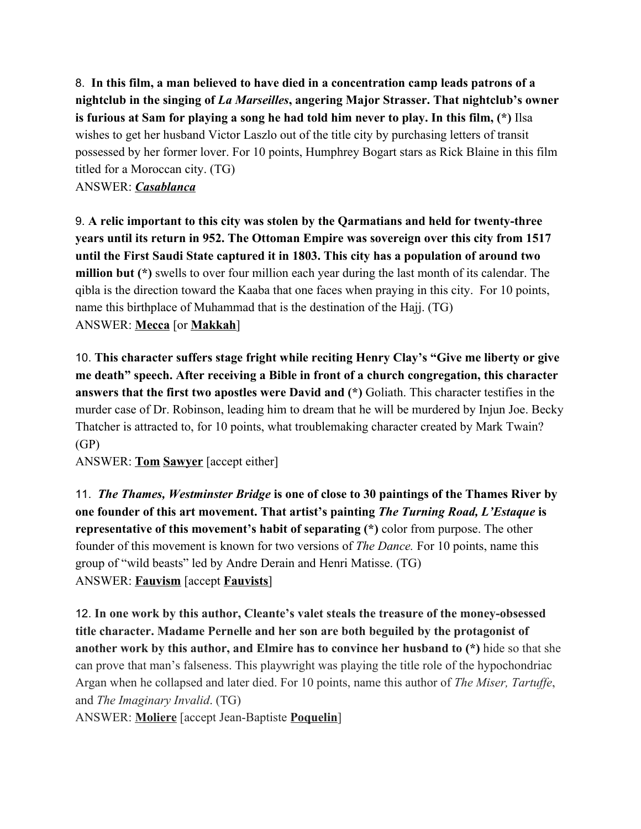8. **In this film, a man believed to have died in a concentration camp leads patrons of a nightclub in the singing of** *La Marseilles***, angering Major Strasser. That nightclub's owner is furious at Sam for playing a song he had told him never to play. In this film, (\*)** Ilsa wishes to get her husband Victor Laszlo out of the title city by purchasing letters of transit possessed by her former lover. For 10 points, Humphrey Bogart stars as Rick Blaine in this film titled for a Moroccan city. (TG)

ANSWER: *Casablanca*

9. **A relic important to this city was stolen by the Qarmatians and held for twenty-three years until its return in 952. The Ottoman Empire was sovereign over this city from 1517 until the First Saudi State captured it in 1803. This city has a population of around two million but (\*)** swells to over four million each year during the last month of its calendar. The qibla is the direction toward the Kaaba that one faces when praying in this city. For 10 points, name this birthplace of Muhammad that is the destination of the Hajj. (TG) ANSWER: **Mecca** [or **Makkah**]

10. **This character suffers stage fright while reciting Henry Clay's "Give me liberty or give me death" speech. After receiving a Bible in front of a church congregation, this character answers that the first two apostles were David and (\*)** Goliath. This character testifies in the murder case of Dr. Robinson, leading him to dream that he will be murdered by Injun Joe. Becky Thatcher is attracted to, for 10 points, what troublemaking character created by Mark Twain? (GP)

ANSWER: **Tom Sawyer** [accept either]

11. *The Thames, Westminster Bridge* **is one of close to 30 paintings of the Thames River by one founder of this art movement. That artist's painting** *The Turning Road, L'Estaque* **is representative of this movement's habit of separating (\*)** color from purpose. The other founder of this movement is known for two versions of *The Dance.* For 10 points, name this group of "wild beasts" led by Andre Derain and Henri Matisse. (TG) ANSWER: **Fauvism** [accept **Fauvists**]

12. **In one work by this author, Cleante's valet steals the treasure of the money-obsessed title character. Madame Pernelle and her son are both beguiled by the protagonist of another work by this author, and Elmire has to convince her husband to (\*)** hide so that she can prove that man's falseness. This playwright was playing the title role of the hypochondriac Argan when he collapsed and later died. For 10 points, name this author of *The Miser, Tartuffe*, and *The Imaginary Invalid*. (TG)

ANSWER: **Moliere** [accept Jean-Baptiste **Poquelin**]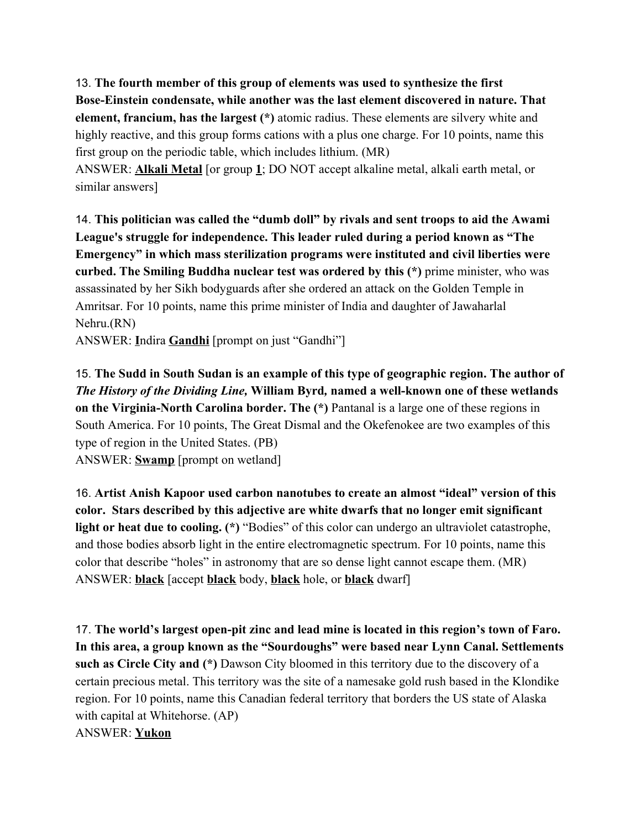13. **The fourth member of this group of elements was used to synthesize the first Bose-Einstein condensate, while another was the last element discovered in nature. That element, francium, has the largest (\*)** atomic radius. These elements are silvery white and highly reactive, and this group forms cations with a plus one charge. For 10 points, name this first group on the periodic table, which includes lithium. (MR)

ANSWER: **Alkali Metal** [or group **1**; DO NOT accept alkaline metal, alkali earth metal, or similar answers]

14. **This politician was called the "dumb doll" by rivals and sent troops to aid the Awami League's struggle for independence. This leader ruled during a period known as "The Emergency" in which mass sterilization programs were instituted and civil liberties were curbed. The Smiling Buddha nuclear test was ordered by this (\*)** prime minister, who was assassinated by her Sikh bodyguards after she ordered an attack on the Golden Temple in Amritsar. For 10 points, name this prime minister of India and daughter of Jawaharlal Nehru.(RN)

ANSWER: **I**ndira **Gandhi** [prompt on just "Gandhi"]

15. **The Sudd in South Sudan is an example of this type of geographic region. The author of** *The History of the Dividing Line,* **William Byrd***,* **named a well-known one of these wetlands on the Virginia-North Carolina border. The (\*)** Pantanal is a large one of these regions in South America. For 10 points, The Great Dismal and the Okefenokee are two examples of this type of region in the United States. (PB) ANSWER: **Swamp** [prompt on wetland]

16. **Artist Anish Kapoor used carbon nanotubes to create an almost "ideal" version of this color. Stars described by this adjective are white dwarfs that no longer emit significant light or heat due to cooling. (\*)** "Bodies" of this color can undergo an ultraviolet catastrophe, and those bodies absorb light in the entire electromagnetic spectrum. For 10 points, name this color that describe "holes" in astronomy that are so dense light cannot escape them. (MR) ANSWER: **black** [accept **black** body, **black** hole, or **black** dwarf]

17. **The world's largest open-pit zinc and lead mine is located in this region's town of Faro. In this area, a group known as the "Sourdoughs" were based near Lynn Canal. Settlements such as Circle City and (\*)** Dawson City bloomed in this territory due to the discovery of a certain precious metal. This territory was the site of a namesake gold rush based in the Klondike region. For 10 points, name this Canadian federal territory that borders the US state of Alaska with capital at Whitehorse. (AP) ANSWER: **Yukon**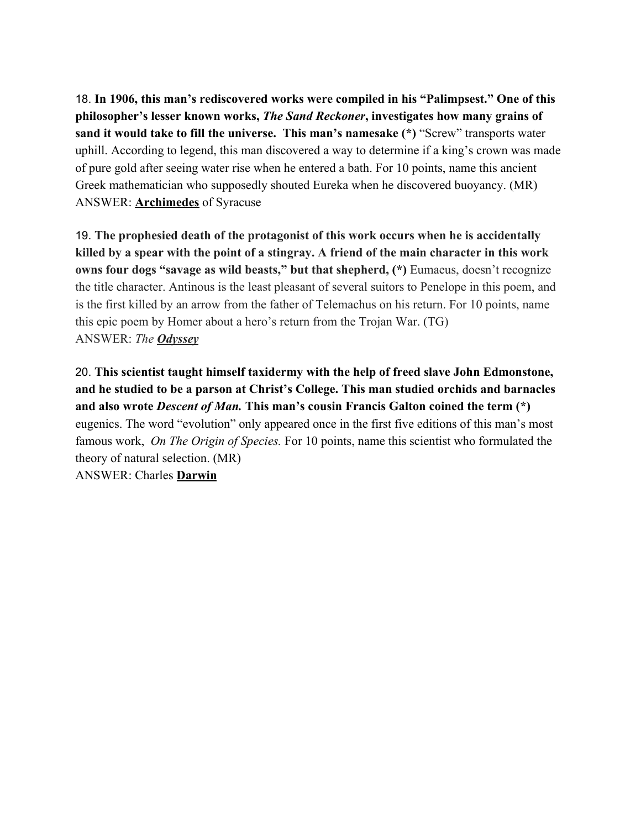18. **In 1906, this man's rediscovered works were compiled in his "Palimpsest." One of this philosopher's lesser known works,** *The Sand Reckoner***, investigates how many grains of sand it would take to fill the universe. This man's namesake (\*)** "Screw" transports water uphill. According to legend, this man discovered a way to determine if a king's crown was made of pure gold after seeing water rise when he entered a bath. For 10 points, name this ancient Greek mathematician who supposedly shouted Eureka when he discovered buoyancy. (MR) ANSWER: **Archimedes** of Syracuse

19. **The prophesied death of the protagonist of this work occurs when he is accidentally killed by a spear with the point of a stingray. A friend of the main character in this work owns four dogs "savage as wild beasts," but that shepherd, (\*)** Eumaeus, doesn't recognize the title character. Antinous is the least pleasant of several suitors to Penelope in this poem, and is the first killed by an arrow from the father of Telemachus on his return. For 10 points, name this epic poem by Homer about a hero's return from the Trojan War. (TG) ANSWER: *The Odyssey*

20. **This scientist taught himself taxidermy with the help of freed slave John Edmonstone, and he studied to be a parson at Christ's College. This man studied orchids and barnacles and also wrote** *Descent of Man.* **This man's cousin Francis Galton coined the term (\*)** eugenics. The word "evolution" only appeared once in the first five editions of this man's most famous work, *On The Origin of Species.* For 10 points, name this scientist who formulated the theory of natural selection. (MR) ANSWER: Charles **Darwin**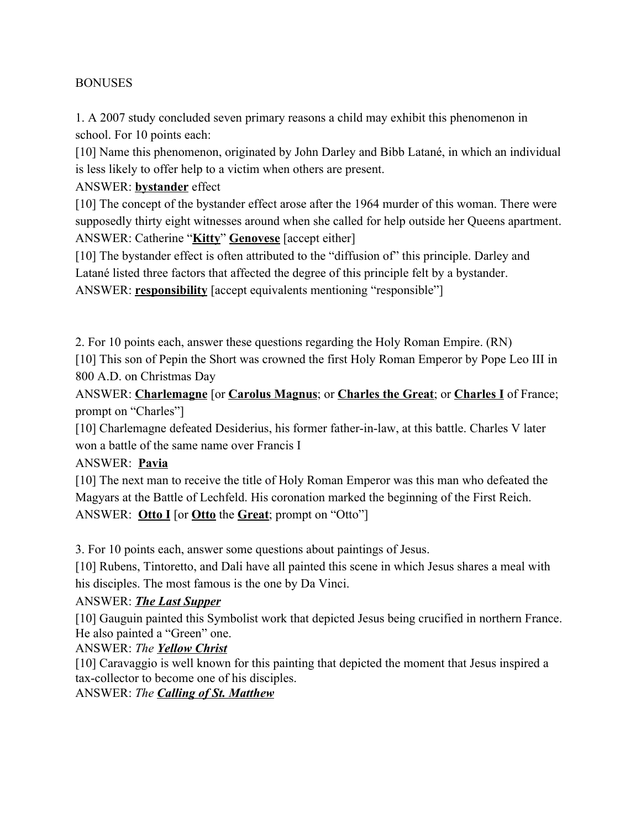#### **BONUSES**

1. A 2007 study concluded seven primary reasons a child may exhibit this phenomenon in school. For 10 points each:

[10] Name this phenomenon, originated by John Darley and Bibb Latané, in which an individual is less likely to offer help to a victim when others are present.

ANSWER: **bystander** effect

[10] The concept of the bystander effect arose after the 1964 murder of this woman. There were supposedly thirty eight witnesses around when she called for help outside her Queens apartment. ANSWER: Catherine "**Kitty**" **Genovese** [accept either]

[10] The bystander effect is often attributed to the "diffusion of" this principle. Darley and Latané listed three factors that affected the degree of this principle felt by a bystander. ANSWER: **responsibility** [accept equivalents mentioning "responsible"]

2. For 10 points each, answer these questions regarding the Holy Roman Empire. (RN) [10] This son of Pepin the Short was crowned the first Holy Roman Emperor by Pope Leo III in 800 A.D. on Christmas Day

ANSWER: **Charlemagne** [or **Carolus Magnus**; or **Charles the Great**; or **Charles I** of France; prompt on "Charles"]

[10] Charlemagne defeated Desiderius, his former father-in-law, at this battle. Charles V later won a battle of the same name over Francis I

ANSWER: **Pavia**

[10] The next man to receive the title of Holy Roman Emperor was this man who defeated the Magyars at the Battle of Lechfeld. His coronation marked the beginning of the First Reich. ANSWER: **Otto I** [or **Otto** the **Great**; prompt on "Otto"]

3. For 10 points each, answer some questions about paintings of Jesus.

[10] Rubens, Tintoretto, and Dali have all painted this scene in which Jesus shares a meal with his disciples. The most famous is the one by Da Vinci.

#### ANSWER: *The Last Supper*

[10] Gauguin painted this Symbolist work that depicted Jesus being crucified in northern France. He also painted a "Green" one.

ANSWER: *The Yellow Christ*

[10] Caravaggio is well known for this painting that depicted the moment that Jesus inspired a tax-collector to become one of his disciples.

ANSWER: *The Calling of St. Matthew*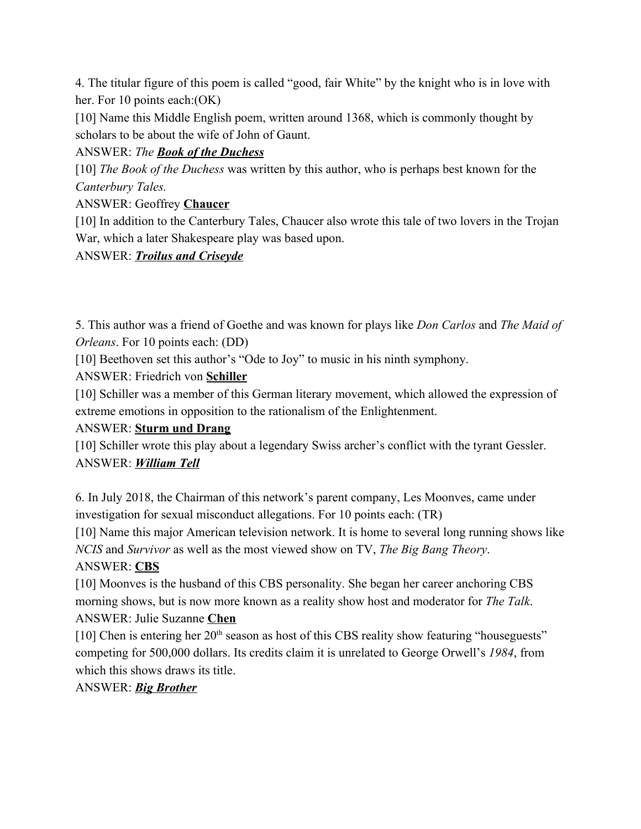4. The titular figure of this poem is called "good, fair White" by the knight who is in love with her. For 10 points each: (OK)

[10] Name this Middle English poem, written around 1368, which is commonly thought by scholars to be about the wife of John of Gaunt.

## ANSWER: *The Book of the Duchess*

[10] *The Book of the Duchess* was written by this author, who is perhaps best known for the *Canterbury Tales.*

# ANSWER: Geoffrey **Chaucer**

[10] In addition to the Canterbury Tales, Chaucer also wrote this tale of two lovers in the Trojan War, which a later Shakespeare play was based upon.

## ANSWER: *Troilus and Criseyde*

5. This author was a friend of Goethe and was known for plays like *Don Carlos* and *The Maid of Orleans*. For 10 points each: (DD)

[10] Beethoven set this author's "Ode to Joy" to music in his ninth symphony.

ANSWER: Friedrich von **Schiller**

[10] Schiller was a member of this German literary movement, which allowed the expression of extreme emotions in opposition to the rationalism of the Enlightenment.

# ANSWER: **Sturm und Drang**

[10] Schiller wrote this play about a legendary Swiss archer's conflict with the tyrant Gessler. ANSWER: *William Tell*

6. In July 2018, the Chairman of this network's parent company, Les Moonves, came under investigation for sexual misconduct allegations. For 10 points each: (TR)

[10] Name this major American television network. It is home to several long running shows like *NCIS* and *Survivor* as well as the most viewed show on TV, *The Big Bang Theory*.

# ANSWER: **CBS**

[10] Moonves is the husband of this CBS personality. She began her career anchoring CBS morning shows, but is now more known as a reality show host and moderator for *The Talk*. ANSWER: Julie Suzanne **Chen**

[10] Chen is entering her  $20<sup>th</sup>$  season as host of this CBS reality show featuring "houseguests" competing for 500,000 dollars. Its credits claim it is unrelated to George Orwell's *1984*, from which this shows draws its title.

## ANSWER: *Big Brother*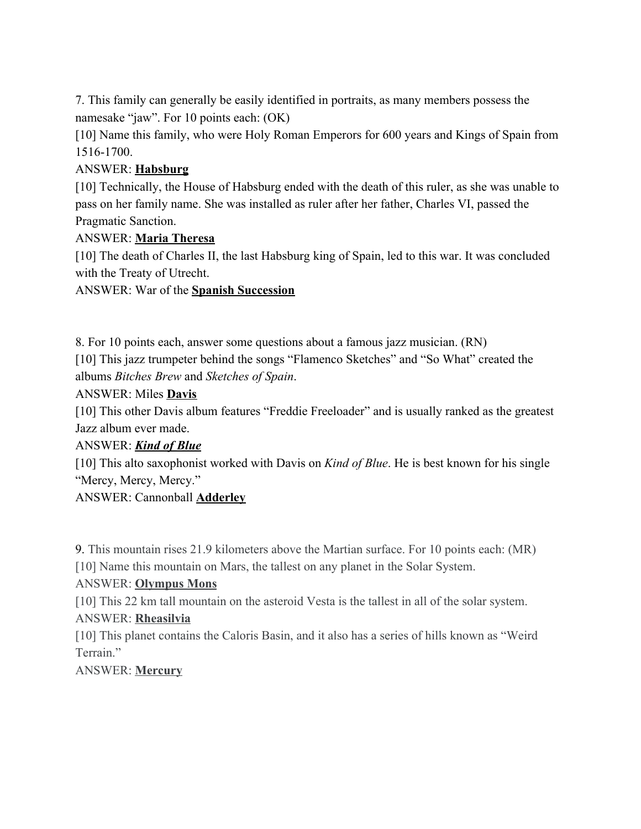7. This family can generally be easily identified in portraits, as many members possess the namesake "jaw". For 10 points each: (OK)

[10] Name this family, who were Holy Roman Emperors for 600 years and Kings of Spain from 1516-1700.

#### ANSWER: **Habsburg**

[10] Technically, the House of Habsburg ended with the death of this ruler, as she was unable to pass on her family name. She was installed as ruler after her father, Charles VI, passed the Pragmatic Sanction.

#### ANSWER: **Maria Theresa**

[10] The death of Charles II, the last Habsburg king of Spain, led to this war. It was concluded with the Treaty of Utrecht.

ANSWER: War of the **Spanish Succession**

8. For 10 points each, answer some questions about a famous jazz musician. (RN) [10] This jazz trumpeter behind the songs "Flamenco Sketches" and "So What" created the albums *Bitches Brew* and *Sketches of Spain*.

ANSWER: Miles **Davis**

[10] This other Davis album features "Freddie Freeloader" and is usually ranked as the greatest Jazz album ever made.

#### ANSWER: *Kind of Blue*

[10] This alto saxophonist worked with Davis on *Kind of Blue*. He is best known for his single "Mercy, Mercy, Mercy."

ANSWER: Cannonball **Adderley**

9. This mountain rises 21.9 kilometers above the Martian surface. For 10 points each: (MR) [10] Name this mountain on Mars, the tallest on any planet in the Solar System.

#### ANSWER: **Olympus Mons**

[10] This 22 km tall mountain on the asteroid Vesta is the tallest in all of the solar system.

#### ANSWER: **Rheasilvia**

[10] This planet contains the Caloris Basin, and it also has a series of hills known as "Weird Terrain."

#### ANSWER: **Mercury**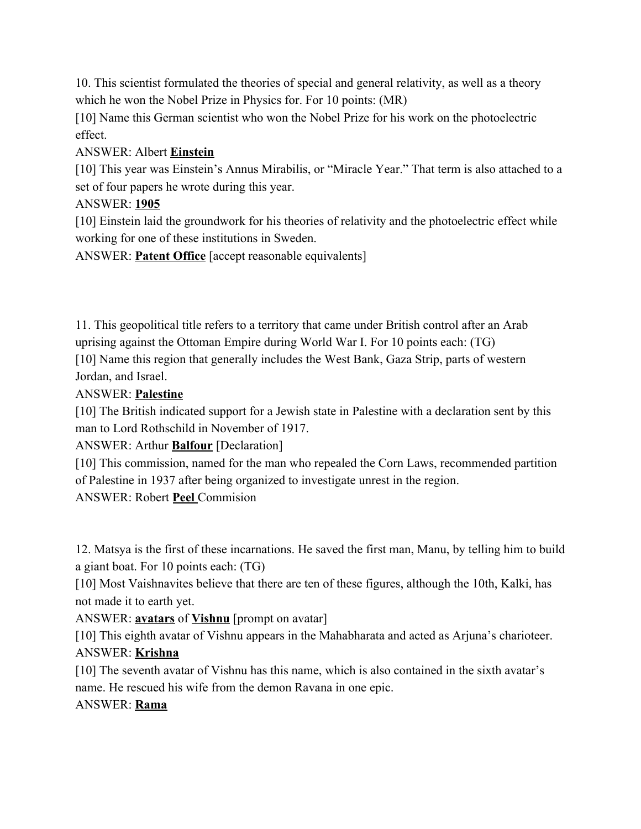10. This scientist formulated the theories of special and general relativity, as well as a theory which he won the Nobel Prize in Physics for. For 10 points: (MR)

[10] Name this German scientist who won the Nobel Prize for his work on the photoelectric effect.

#### ANSWER: Albert **Einstein**

[10] This year was Einstein's Annus Mirabilis, or "Miracle Year." That term is also attached to a set of four papers he wrote during this year.

## ANSWER: **1905**

[10] Einstein laid the groundwork for his theories of relativity and the photoelectric effect while working for one of these institutions in Sweden.

ANSWER: **Patent Office** [accept reasonable equivalents]

11. This geopolitical title refers to a territory that came under British control after an Arab uprising against the Ottoman Empire during World War I. For 10 points each: (TG) [10] Name this region that generally includes the West Bank, Gaza Strip, parts of western Jordan, and Israel.

#### ANSWER: **Palestine**

[10] The British indicated support for a Jewish state in Palestine with a declaration sent by this man to Lord Rothschild in November of 1917.

ANSWER: Arthur **Balfour** [Declaration]

[10] This commission, named for the man who repealed the Corn Laws, recommended partition of Palestine in 1937 after being organized to investigate unrest in the region.

ANSWER: Robert **Peel** Commision

12. Matsya is the first of these incarnations. He saved the first man, Manu, by telling him to build a giant boat. For 10 points each: (TG)

[10] Most Vaishnavites believe that there are ten of these figures, although the 10th, Kalki, has not made it to earth yet.

ANSWER: **avatars** of **Vishnu** [prompt on avatar]

[10] This eighth avatar of Vishnu appears in the Mahabharata and acted as Arjuna's charioteer. ANSWER: **Krishna**

[10] The seventh avatar of Vishnu has this name, which is also contained in the sixth avatar's name. He rescued his wife from the demon Ravana in one epic.

ANSWER: **Rama**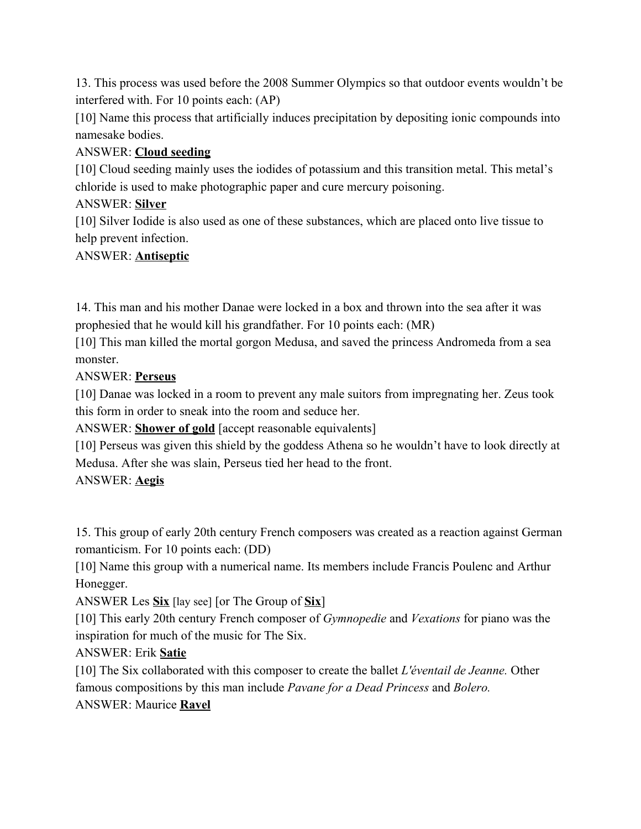13. This process was used before the 2008 Summer Olympics so that outdoor events wouldn't be interfered with. For 10 points each: (AP)

[10] Name this process that artificially induces precipitation by depositing ionic compounds into namesake bodies.

## ANSWER: **Cloud seeding**

[10] Cloud seeding mainly uses the iodides of potassium and this transition metal. This metal's chloride is used to make photographic paper and cure mercury poisoning.

## ANSWER: **Silver**

[10] Silver Iodide is also used as one of these substances, which are placed onto live tissue to help prevent infection.

## ANSWER: **Antiseptic**

14. This man and his mother Danae were locked in a box and thrown into the sea after it was prophesied that he would kill his grandfather. For 10 points each: (MR)

[10] This man killed the mortal gorgon Medusa, and saved the princess Andromeda from a sea monster.

#### ANSWER: **Perseus**

[10] Danae was locked in a room to prevent any male suitors from impregnating her. Zeus took this form in order to sneak into the room and seduce her.

ANSWER: **Shower of gold** [accept reasonable equivalents]

[10] Perseus was given this shield by the goddess Athena so he wouldn't have to look directly at Medusa. After she was slain, Perseus tied her head to the front.

ANSWER: **Aegis**

15. This group of early 20th century French composers was created as a reaction against German romanticism. For 10 points each: (DD)

[10] Name this group with a numerical name. Its members include Francis Poulenc and Arthur Honegger.

ANSWER Les **Six** [lay see] [or The Group of **Six**]

[10] This early 20th century French composer of *Gymnopedie* and *Vexations* for piano was the inspiration for much of the music for The Six.

ANSWER: Erik **Satie**

[10] The Six collaborated with this composer to create the ballet *L'éventail de Jeanne.* Other famous compositions by this man include *Pavane for a Dead Princess* and *Bolero.*

#### ANSWER: Maurice **Ravel**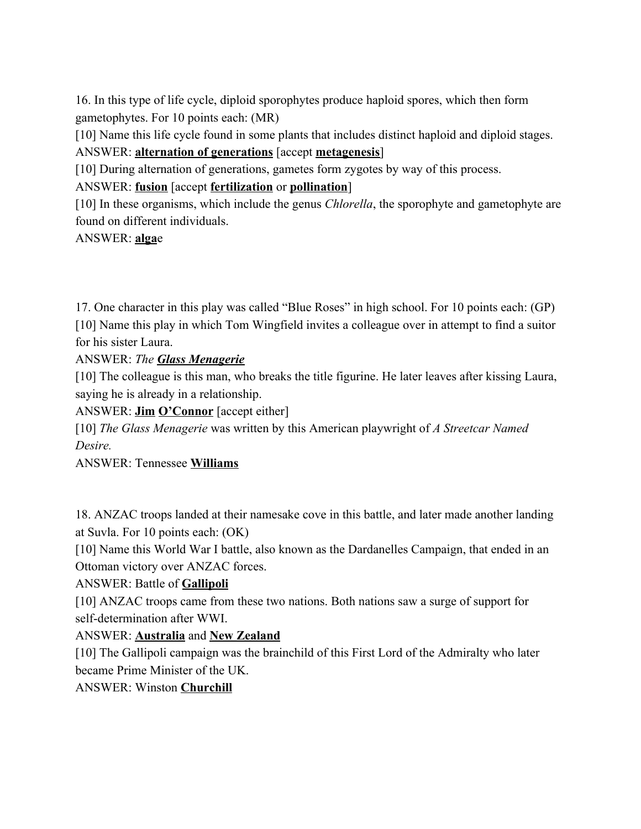16. In this type of life cycle, diploid sporophytes produce haploid spores, which then form gametophytes. For 10 points each: (MR)

[10] Name this life cycle found in some plants that includes distinct haploid and diploid stages. ANSWER: **alternation of generations** [accept **metagenesis**]

[10] During alternation of generations, gametes form zygotes by way of this process.

ANSWER: **fusion** [accept **fertilization** or **pollination**]

[10] In these organisms, which include the genus *Chlorella*, the sporophyte and gametophyte are found on different individuals.

ANSWER: **alga**e

17. One character in this play was called "Blue Roses" in high school. For 10 points each: (GP) [10] Name this play in which Tom Wingfield invites a colleague over in attempt to find a suitor for his sister Laura.

ANSWER: *The Glass Menagerie*

[10] The colleague is this man, who breaks the title figurine. He later leaves after kissing Laura, saying he is already in a relationship.

ANSWER: **Jim O'Connor** [accept either]

[10] *The Glass Menagerie* was written by this American playwright of *A Streetcar Named Desire.*

ANSWER: Tennessee **Williams**

18. ANZAC troops landed at their namesake cove in this battle, and later made another landing at Suvla. For 10 points each: (OK)

[10] Name this World War I battle, also known as the Dardanelles Campaign, that ended in an Ottoman victory over ANZAC forces.

#### ANSWER: Battle of **Gallipoli**

[10] ANZAC troops came from these two nations. Both nations saw a surge of support for self-determination after WWI.

#### ANSWER: **Australia** and **New Zealand**

[10] The Gallipoli campaign was the brainchild of this First Lord of the Admiralty who later became Prime Minister of the UK.

ANSWER: Winston **Churchill**